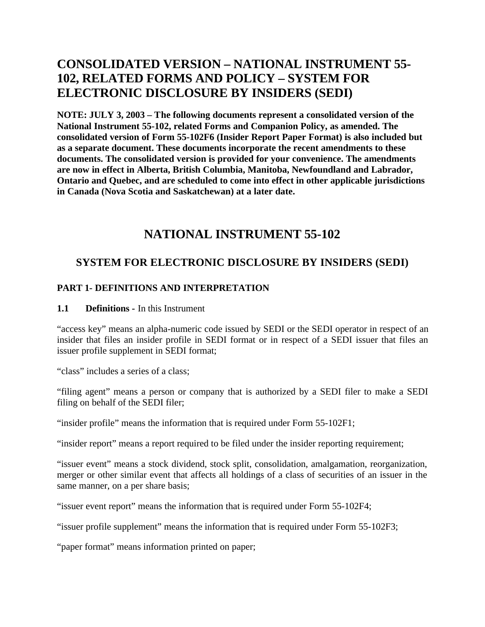# **CONSOLIDATED VERSION – NATIONAL INSTRUMENT 55- 102, RELATED FORMS AND POLICY – SYSTEM FOR ELECTRONIC DISCLOSURE BY INSIDERS (SEDI)**

**NOTE: JULY 3, 2003 – The following documents represent a consolidated version of the National Instrument 55-102, related Forms and Companion Policy, as amended. The consolidated version of Form 55-102F6 (Insider Report Paper Format) is also included but as a separate document. These documents incorporate the recent amendments to these documents. The consolidated version is provided for your convenience. The amendments are now in effect in Alberta, British Columbia, Manitoba, Newfoundland and Labrador, Ontario and Quebec, and are scheduled to come into effect in other applicable jurisdictions in Canada (Nova Scotia and Saskatchewan) at a later date.**

# **NATIONAL INSTRUMENT 55-102**

# **SYSTEM FOR ELECTRONIC DISCLOSURE BY INSIDERS (SEDI)**

# **PART 1- DEFINITIONS AND INTERPRETATION**

# **1.1 Definitions -** In this Instrument

"access key" means an alpha-numeric code issued by SEDI or the SEDI operator in respect of an insider that files an insider profile in SEDI format or in respect of a SEDI issuer that files an issuer profile supplement in SEDI format;

"class" includes a series of a class;

"filing agent" means a person or company that is authorized by a SEDI filer to make a SEDI filing on behalf of the SEDI filer;

"insider profile" means the information that is required under Form 55-102F1;

"insider report" means a report required to be filed under the insider reporting requirement;

"issuer event" means a stock dividend, stock split, consolidation, amalgamation, reorganization, merger or other similar event that affects all holdings of a class of securities of an issuer in the same manner, on a per share basis;

"issuer event report" means the information that is required under Form 55-102F4;

"issuer profile supplement" means the information that is required under Form 55-102F3;

"paper format" means information printed on paper;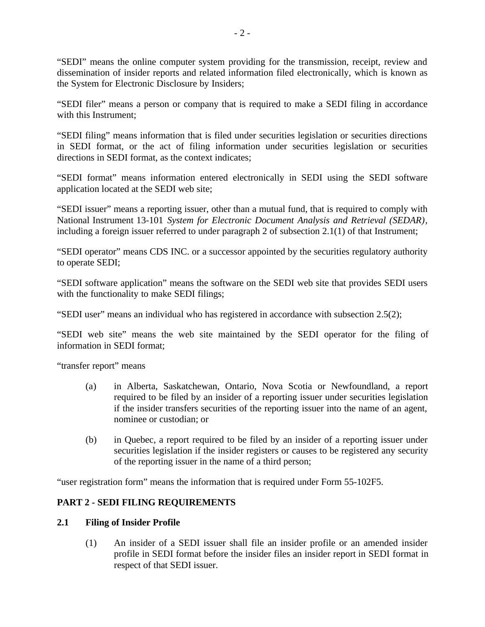"SEDI" means the online computer system providing for the transmission, receipt, review and dissemination of insider reports and related information filed electronically, which is known as the System for Electronic Disclosure by Insiders;

"SEDI filer" means a person or company that is required to make a SEDI filing in accordance with this Instrument;

"SEDI filing" means information that is filed under securities legislation or securities directions in SEDI format, or the act of filing information under securities legislation or securities directions in SEDI format, as the context indicates;

"SEDI format" means information entered electronically in SEDI using the SEDI software application located at the SEDI web site;

"SEDI issuer" means a reporting issuer, other than a mutual fund, that is required to comply with National Instrument 13-101 *System for Electronic Document Analysis and Retrieval (SEDAR)*, including a foreign issuer referred to under paragraph 2 of subsection 2.1(1) of that Instrument;

"SEDI operator" means CDS INC. or a successor appointed by the securities regulatory authority to operate SEDI;

"SEDI software application" means the software on the SEDI web site that provides SEDI users with the functionality to make SEDI filings;

"SEDI user" means an individual who has registered in accordance with subsection 2.5(2);

"SEDI web site" means the web site maintained by the SEDI operator for the filing of information in SEDI format;

"transfer report" means

- (a) in Alberta, Saskatchewan, Ontario, Nova Scotia or Newfoundland, a report required to be filed by an insider of a reporting issuer under securities legislation if the insider transfers securities of the reporting issuer into the name of an agent, nominee or custodian; or
- (b) in Quebec, a report required to be filed by an insider of a reporting issuer under securities legislation if the insider registers or causes to be registered any security of the reporting issuer in the name of a third person;

"user registration form" means the information that is required under Form 55-102F5.

#### **PART 2 - SEDI FILING REQUIREMENTS**

#### **2.1 Filing of Insider Profile**

(1) An insider of a SEDI issuer shall file an insider profile or an amended insider profile in SEDI format before the insider files an insider report in SEDI format in respect of that SEDI issuer.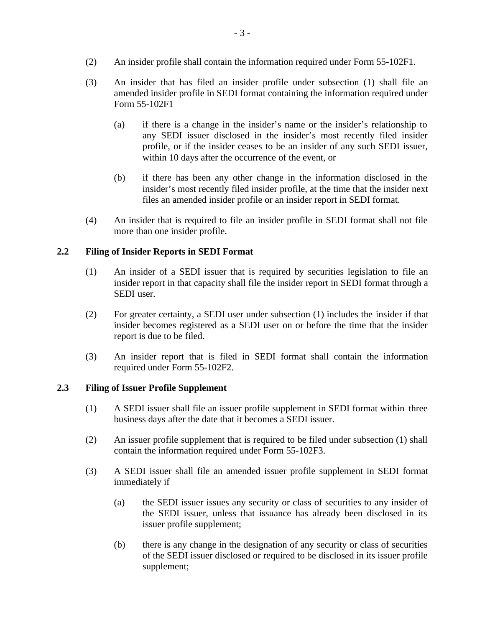- (2) An insider profile shall contain the information required under Form 55-102F1.
- (3) An insider that has filed an insider profile under subsection (1) shall file an amended insider profile in SEDI format containing the information required under Form 55-102F1
	- (a) if there is a change in the insider's name or the insider's relationship to any SEDI issuer disclosed in the insider's most recently filed insider profile, or if the insider ceases to be an insider of any such SEDI issuer, within 10 days after the occurrence of the event, or
	- (b) if there has been any other change in the information disclosed in the insider's most recently filed insider profile, at the time that the insider next files an amended insider profile or an insider report in SEDI format.
- (4) An insider that is required to file an insider profile in SEDI format shall not file more than one insider profile.

### **2.2 Filing of Insider Reports in SEDI Format**

- (1) An insider of a SEDI issuer that is required by securities legislation to file an insider report in that capacity shall file the insider report in SEDI format through a SEDI user.
- (2) For greater certainty, a SEDI user under subsection (1) includes the insider if that insider becomes registered as a SEDI user on or before the time that the insider report is due to be filed.
- (3) An insider report that is filed in SEDI format shall contain the information required under Form 55-102F2.

#### **2.3 Filing of Issuer Profile Supplement**

- (1) A SEDI issuer shall file an issuer profile supplement in SEDI format within three business days after the date that it becomes a SEDI issuer.
- (2) An issuer profile supplement that is required to be filed under subsection (1) shall contain the information required under Form 55-102F3.
- (3) A SEDI issuer shall file an amended issuer profile supplement in SEDI format immediately if
	- (a) the SEDI issuer issues any security or class of securities to any insider of the SEDI issuer, unless that issuance has already been disclosed in its issuer profile supplement;
	- (b) there is any change in the designation of any security or class of securities of the SEDI issuer disclosed or required to be disclosed in its issuer profile supplement;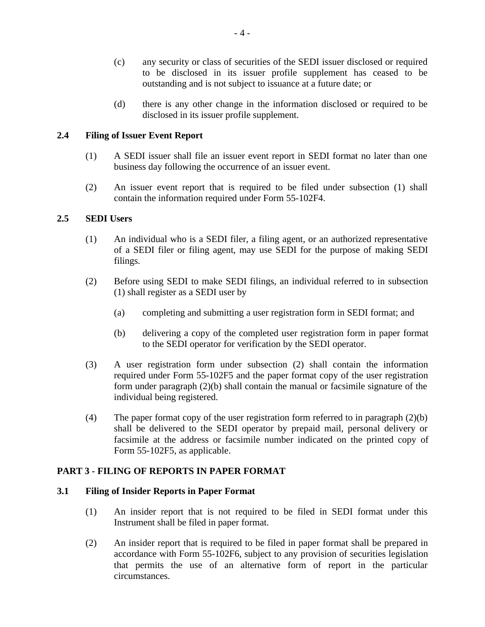- (c) any security or class of securities of the SEDI issuer disclosed or required to be disclosed in its issuer profile supplement has ceased to be outstanding and is not subject to issuance at a future date; or
- (d) there is any other change in the information disclosed or required to be disclosed in its issuer profile supplement.

### **2.4 Filing of Issuer Event Report**

- (1) A SEDI issuer shall file an issuer event report in SEDI format no later than one business day following the occurrence of an issuer event.
- (2) An issuer event report that is required to be filed under subsection (1) shall contain the information required under Form 55-102F4.

#### **2.5 SEDI Users**

- (1) An individual who is a SEDI filer, a filing agent, or an authorized representative of a SEDI filer or filing agent, may use SEDI for the purpose of making SEDI filings.
- (2) Before using SEDI to make SEDI filings, an individual referred to in subsection (1) shall register as a SEDI user by
	- (a) completing and submitting a user registration form in SEDI format; and
	- (b) delivering a copy of the completed user registration form in paper format to the SEDI operator for verification by the SEDI operator.
- (3) A user registration form under subsection (2) shall contain the information required under Form 55-102F5 and the paper format copy of the user registration form under paragraph (2)(b) shall contain the manual or facsimile signature of the individual being registered.
- (4) The paper format copy of the user registration form referred to in paragraph (2)(b) shall be delivered to the SEDI operator by prepaid mail, personal delivery or facsimile at the address or facsimile number indicated on the printed copy of Form 55-102F5, as applicable.

#### **PART 3 - FILING OF REPORTS IN PAPER FORMAT**

#### **3.1 Filing of Insider Reports in Paper Format**

- (1) An insider report that is not required to be filed in SEDI format under this Instrument shall be filed in paper format.
- (2) An insider report that is required to be filed in paper format shall be prepared in accordance with Form 55-102F6, subject to any provision of securities legislation that permits the use of an alternative form of report in the particular circumstances.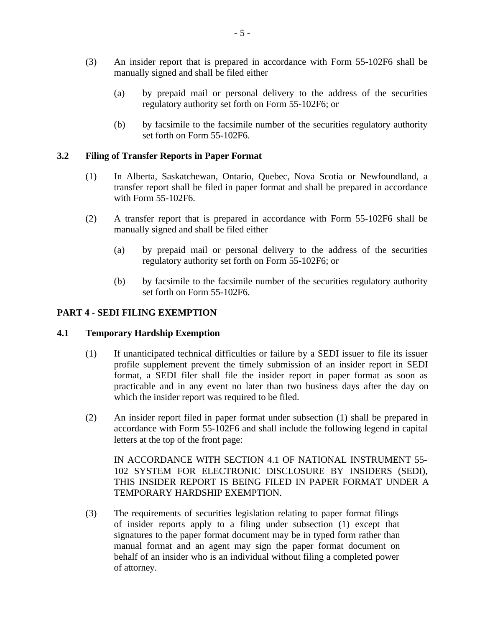- (3) An insider report that is prepared in accordance with Form 55-102F6 shall be manually signed and shall be filed either
	- (a) by prepaid mail or personal delivery to the address of the securities regulatory authority set forth on Form 55-102F6; or
	- (b) by facsimile to the facsimile number of the securities regulatory authority set forth on Form 55-102F6.

#### **3.2 Filing of Transfer Reports in Paper Format**

- (1) In Alberta, Saskatchewan, Ontario, Quebec, Nova Scotia or Newfoundland, a transfer report shall be filed in paper format and shall be prepared in accordance with Form 55-102F6.
- (2) A transfer report that is prepared in accordance with Form 55-102F6 shall be manually signed and shall be filed either
	- (a) by prepaid mail or personal delivery to the address of the securities regulatory authority set forth on Form 55-102F6; or
	- (b) by facsimile to the facsimile number of the securities regulatory authority set forth on Form 55-102F6.

#### **PART 4 - SEDI FILING EXEMPTION**

#### **4.1 Temporary Hardship Exemption**

- (1) If unanticipated technical difficulties or failure by a SEDI issuer to file its issuer profile supplement prevent the timely submission of an insider report in SEDI format, a SEDI filer shall file the insider report in paper format as soon as practicable and in any event no later than two business days after the day on which the insider report was required to be filed.
- (2) An insider report filed in paper format under subsection (1) shall be prepared in accordance with Form 55-102F6 and shall include the following legend in capital letters at the top of the front page:

IN ACCORDANCE WITH SECTION 4.1 OF NATIONAL INSTRUMENT 55- 102 SYSTEM FOR ELECTRONIC DISCLOSURE BY INSIDERS (SEDI), THIS INSIDER REPORT IS BEING FILED IN PAPER FORMAT UNDER A TEMPORARY HARDSHIP EXEMPTION.

(3) The requirements of securities legislation relating to paper format filings of insider reports apply to a filing under subsection (1) except that signatures to the paper format document may be in typed form rather than manual format and an agent may sign the paper format document on behalf of an insider who is an individual without filing a completed power of attorney.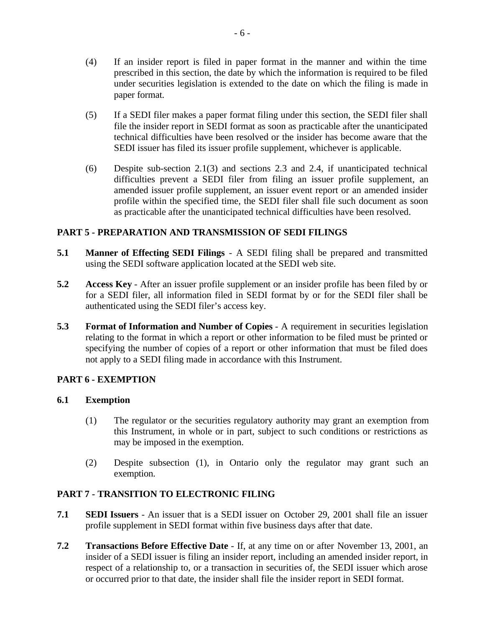- (4) If an insider report is filed in paper format in the manner and within the time prescribed in this section, the date by which the information is required to be filed under securities legislation is extended to the date on which the filing is made in paper format.
- (5) If a SEDI filer makes a paper format filing under this section, the SEDI filer shall file the insider report in SEDI format as soon as practicable after the unanticipated technical difficulties have been resolved or the insider has become aware that the SEDI issuer has filed its issuer profile supplement, whichever is applicable.
- (6) Despite sub-section 2.1(3) and sections 2.3 and 2.4, if unanticipated technical difficulties prevent a SEDI filer from filing an issuer profile supplement, an amended issuer profile supplement, an issuer event report or an amended insider profile within the specified time, the SEDI filer shall file such document as soon as practicable after the unanticipated technical difficulties have been resolved.

# **PART 5 - PREPARATION AND TRANSMISSION OF SEDI FILINGS**

- **5.1 Manner of Effecting SEDI Filings**  A SEDI filing shall be prepared and transmitted using the SEDI software application located at the SEDI web site.
- **5.2 Access Key** After an issuer profile supplement or an insider profile has been filed by or for a SEDI filer, all information filed in SEDI format by or for the SEDI filer shall be authenticated using the SEDI filer's access key.
- **5.3 Format of Information and Number of Copies** A requirement in securities legislation relating to the format in which a report or other information to be filed must be printed or specifying the number of copies of a report or other information that must be filed does not apply to a SEDI filing made in accordance with this Instrument.

# **PART 6 - EXEMPTION**

# **6.1 Exemption**

- (1) The regulator or the securities regulatory authority may grant an exemption from this Instrument, in whole or in part, subject to such conditions or restrictions as may be imposed in the exemption.
- (2) Despite subsection (1), in Ontario only the regulator may grant such an exemption.

# **PART 7 - TRANSITION TO ELECTRONIC FILING**

- **7.1 SEDI Issuers**  An issuer that is a SEDI issuer on October 29, 2001 shall file an issuer profile supplement in SEDI format within five business days after that date.
- **7.2 Transactions Before Effective Date**  If, at any time on or after November 13, 2001, an insider of a SEDI issuer is filing an insider report, including an amended insider report, in respect of a relationship to, or a transaction in securities of, the SEDI issuer which arose or occurred prior to that date, the insider shall file the insider report in SEDI format.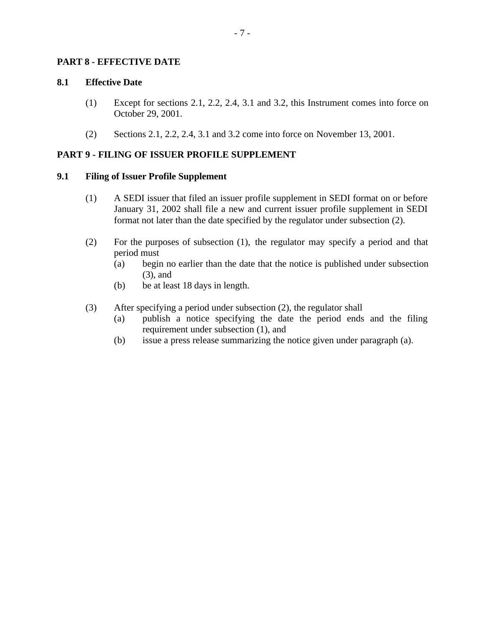#### **PART 8 - EFFECTIVE DATE**

#### **8.1 Effective Date**

- (1) Except for sections 2.1, 2.2, 2.4, 3.1 and 3.2, this Instrument comes into force on October 29, 2001.
- (2) Sections 2.1, 2.2, 2.4, 3.1 and 3.2 come into force on November 13, 2001.

# **PART 9 - FILING OF ISSUER PROFILE SUPPLEMENT**

#### **9.1 Filing of Issuer Profile Supplement**

- (1) A SEDI issuer that filed an issuer profile supplement in SEDI format on or before January 31, 2002 shall file a new and current issuer profile supplement in SEDI format not later than the date specified by the regulator under subsection (2).
- (2) For the purposes of subsection (1), the regulator may specify a period and that period must
	- (a) begin no earlier than the date that the notice is published under subsection (3), and
	- (b) be at least 18 days in length.
- (3) After specifying a period under subsection (2), the regulator shall
	- (a) publish a notice specifying the date the period ends and the filing requirement under subsection (1), and
	- (b) issue a press release summarizing the notice given under paragraph (a).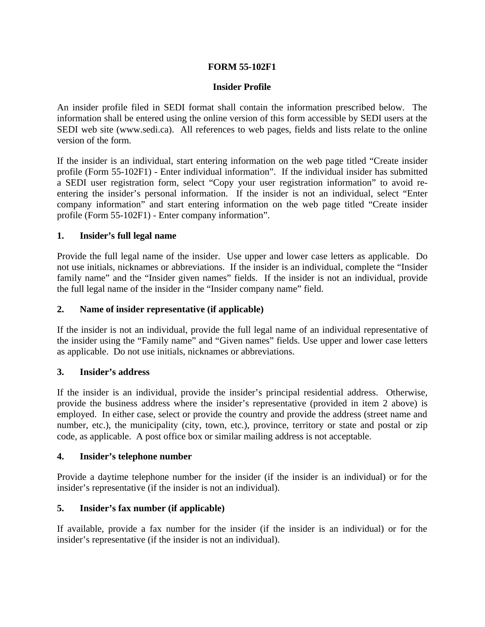# **FORM 55-102F1**

### **Insider Profile**

An insider profile filed in SEDI format shall contain the information prescribed below. The information shall be entered using the online version of this form accessible by SEDI users at the SEDI web site (www.sedi.ca). All references to web pages, fields and lists relate to the online version of the form.

If the insider is an individual, start entering information on the web page titled "Create insider profile (Form 55-102F1) - Enter individual information". If the individual insider has submitted a SEDI user registration form, select "Copy your user registration information" to avoid reentering the insider's personal information. If the insider is not an individual, select "Enter company information" and start entering information on the web page titled "Create insider profile (Form 55-102F1) - Enter company information".

### **1. Insider's full legal name**

Provide the full legal name of the insider. Use upper and lower case letters as applicable. Do not use initials, nicknames or abbreviations. If the insider is an individual, complete the "Insider family name" and the "Insider given names" fields. If the insider is not an individual, provide the full legal name of the insider in the "Insider company name" field.

### **2. Name of insider representative (if applicable)**

If the insider is not an individual, provide the full legal name of an individual representative of the insider using the "Family name" and "Given names" fields. Use upper and lower case letters as applicable. Do not use initials, nicknames or abbreviations.

#### **3. Insider's address**

If the insider is an individual, provide the insider's principal residential address. Otherwise, provide the business address where the insider's representative (provided in item 2 above) is employed. In either case, select or provide the country and provide the address (street name and number, etc.), the municipality (city, town, etc.), province, territory or state and postal or zip code, as applicable. A post office box or similar mailing address is not acceptable.

#### **4. Insider's telephone number**

Provide a daytime telephone number for the insider (if the insider is an individual) or for the insider's representative (if the insider is not an individual).

# **5. Insider's fax number (if applicable)**

If available, provide a fax number for the insider (if the insider is an individual) or for the insider's representative (if the insider is not an individual).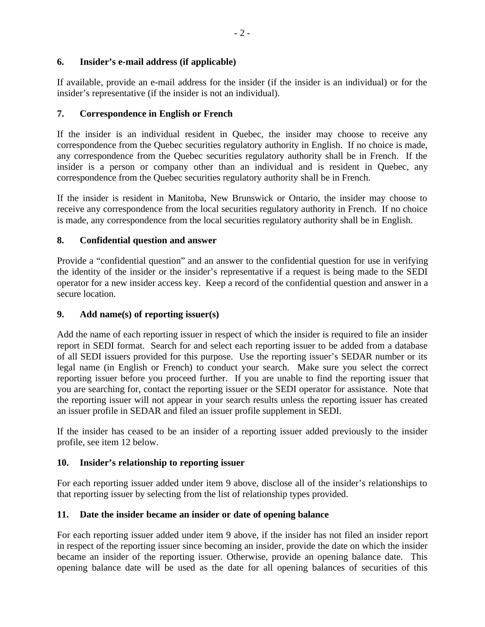# **6. Insider's e-mail address (if applicable)**

If available, provide an e-mail address for the insider (if the insider is an individual) or for the insider's representative (if the insider is not an individual).

### **7. Correspondence in English or French**

If the insider is an individual resident in Quebec, the insider may choose to receive any correspondence from the Quebec securities regulatory authority in English. If no choice is made, any correspondence from the Quebec securities regulatory authority shall be in French. If the insider is a person or company other than an individual and is resident in Quebec, any correspondence from the Quebec securities regulatory authority shall be in French.

If the insider is resident in Manitoba, New Brunswick or Ontario, the insider may choose to receive any correspondence from the local securities regulatory authority in French. If no choice is made, any correspondence from the local securities regulatory authority shall be in English.

### **8. Confidential question and answer**

Provide a "confidential question" and an answer to the confidential question for use in verifying the identity of the insider or the insider's representative if a request is being made to the SEDI operator for a new insider access key. Keep a record of the confidential question and answer in a secure location.

#### **9. Add name(s) of reporting issuer(s)**

Add the name of each reporting issuer in respect of which the insider is required to file an insider report in SEDI format. Search for and select each reporting issuer to be added from a database of all SEDI issuers provided for this purpose. Use the reporting issuer's SEDAR number or its legal name (in English or French) to conduct your search. Make sure you select the correct reporting issuer before you proceed further. If you are unable to find the reporting issuer that you are searching for, contact the reporting issuer or the SEDI operator for assistance. Note that the reporting issuer will not appear in your search results unless the reporting issuer has created an issuer profile in SEDAR and filed an issuer profile supplement in SEDI.

If the insider has ceased to be an insider of a reporting issuer added previously to the insider profile, see item 12 below.

#### **10. Insider's relationship to reporting issuer**

For each reporting issuer added under item 9 above, disclose all of the insider's relationships to that reporting issuer by selecting from the list of relationship types provided.

#### **11. Date the insider became an insider or date of opening balance**

For each reporting issuer added under item 9 above, if the insider has not filed an insider report in respect of the reporting issuer since becoming an insider, provide the date on which the insider became an insider of the reporting issuer. Otherwise, provide an opening balance date. This opening balance date will be used as the date for all opening balances of securities of this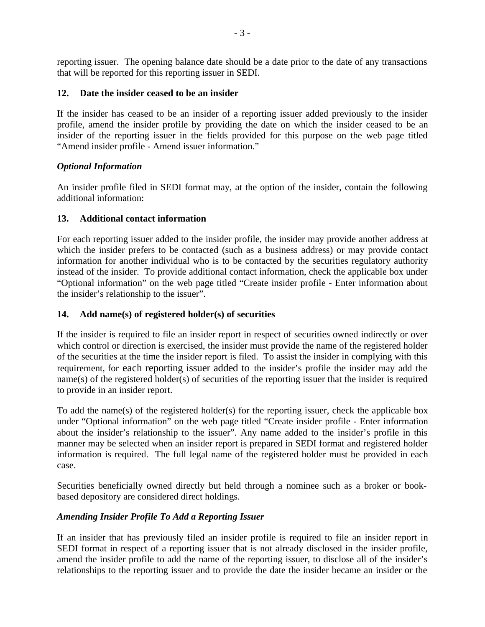reporting issuer. The opening balance date should be a date prior to the date of any transactions that will be reported for this reporting issuer in SEDI.

### **12. Date the insider ceased to be an insider**

If the insider has ceased to be an insider of a reporting issuer added previously to the insider profile, amend the insider profile by providing the date on which the insider ceased to be an insider of the reporting issuer in the fields provided for this purpose on the web page titled "Amend insider profile - Amend issuer information."

### *Optional Information*

An insider profile filed in SEDI format may, at the option of the insider, contain the following additional information:

### **13. Additional contact information**

For each reporting issuer added to the insider profile, the insider may provide another address at which the insider prefers to be contacted (such as a business address) or may provide contact information for another individual who is to be contacted by the securities regulatory authority instead of the insider. To provide additional contact information, check the applicable box under "Optional information" on the web page titled "Create insider profile - Enter information about the insider's relationship to the issuer".

### **14. Add name(s) of registered holder(s) of securities**

If the insider is required to file an insider report in respect of securities owned indirectly or over which control or direction is exercised, the insider must provide the name of the registered holder of the securities at the time the insider report is filed. To assist the insider in complying with this requirement, for each reporting issuer added to the insider's profile the insider may add the name(s) of the registered holder(s) of securities of the reporting issuer that the insider is required to provide in an insider report.

To add the name(s) of the registered holder(s) for the reporting issuer, check the applicable box under "Optional information" on the web page titled "Create insider profile - Enter information about the insider's relationship to the issuer". Any name added to the insider's profile in this manner may be selected when an insider report is prepared in SEDI format and registered holder information is required. The full legal name of the registered holder must be provided in each case.

Securities beneficially owned directly but held through a nominee such as a broker or bookbased depository are considered direct holdings.

# *Amending Insider Profile To Add a Reporting Issuer*

If an insider that has previously filed an insider profile is required to file an insider report in SEDI format in respect of a reporting issuer that is not already disclosed in the insider profile, amend the insider profile to add the name of the reporting issuer, to disclose all of the insider's relationships to the reporting issuer and to provide the date the insider became an insider or the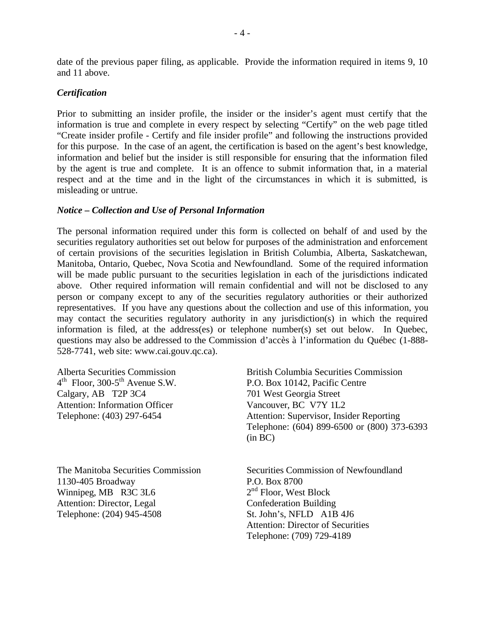date of the previous paper filing, as applicable. Provide the information required in items 9, 10 and 11 above.

#### *Certification*

Prior to submitting an insider profile, the insider or the insider's agent must certify that the information is true and complete in every respect by selecting "Certify" on the web page titled "Create insider profile - Certify and file insider profile" and following the instructions provided for this purpose. In the case of an agent, the certification is based on the agent's best knowledge, information and belief but the insider is still responsible for ensuring that the information filed by the agent is true and complete. It is an offence to submit information that, in a material respect and at the time and in the light of the circumstances in which it is submitted, is misleading or untrue.

#### *Notice – Collection and Use of Personal Information*

The personal information required under this form is collected on behalf of and used by the securities regulatory authorities set out below for purposes of the administration and enforcement of certain provisions of the securities legislation in British Columbia, Alberta, Saskatchewan, Manitoba, Ontario, Quebec, Nova Scotia and Newfoundland. Some of the required information will be made public pursuant to the securities legislation in each of the jurisdictions indicated above. Other required information will remain confidential and will not be disclosed to any person or company except to any of the securities regulatory authorities or their authorized representatives. If you have any questions about the collection and use of this information, you may contact the securities regulatory authority in any jurisdiction(s) in which the required information is filed, at the address(es) or telephone number(s) set out below. In Quebec, questions may also be addressed to the Commission d'accès à l'information du Québec (1-888- 528-7741, web site: www.cai.gouv.qc.ca).

Alberta Securities Commission  $4^{\text{th}}$  Floor, 300-5<sup>th</sup> Avenue S.W. Calgary, AB T2P 3C4 Attention: Information Officer Telephone: (403) 297-6454

The Manitoba Securities Commission 1130-405 Broadway Winnipeg, MB R3C 3L6 Attention: Director, Legal Telephone: (204) 945-4508

British Columbia Securities Commission P.O. Box 10142, Pacific Centre 701 West Georgia Street Vancouver, BC V7Y 1L2 Attention: Supervisor, Insider Reporting Telephone: (604) 899-6500 or (800) 373-6393 (in BC)

Securities Commission of Newfoundland P.O. Box 8700 2<sup>nd</sup> Floor, West Block Confederation Building St. John's, NFLD A1B 4J6 Attention: Director of Securities Telephone: (709) 729-4189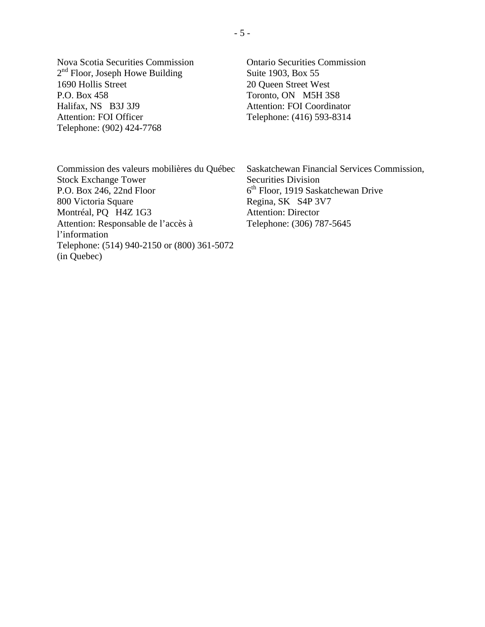Nova Scotia Securities Commission 2<sup>nd</sup> Floor, Joseph Howe Building 1690 Hollis Street P.O. Box 458 Halifax, NS B3J 3J9 Attention: FOI Officer Telephone: (902) 424-7768

Commission des valeurs mobilières du Québec Stock Exchange Tower P.O. Box 246, 22nd Floor 800 Victoria Square Montréal, PQ H4Z 1G3 Attention: Responsable de l'accès à l'information Telephone: (514) 940-2150 or (800) 361-5072 (in Quebec)

Ontario Securities Commission Suite 1903, Box 55 20 Queen Street West Toronto, ON M5H 3S8 Attention: FOI Coordinator Telephone: (416) 593-8314

Saskatchewan Financial Services Commission, Securities Division 6<sup>th</sup> Floor, 1919 Saskatchewan Drive Regina, SK S4P 3V7 Attention: Director Telephone: (306) 787-5645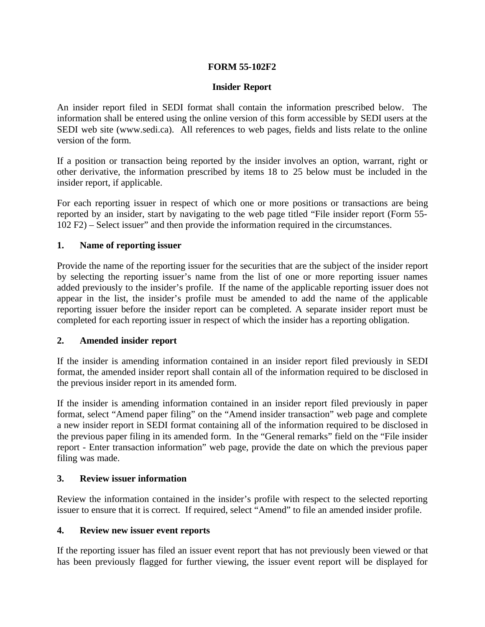# **FORM 55-102F2**

### **Insider Report**

An insider report filed in SEDI format shall contain the information prescribed below. The information shall be entered using the online version of this form accessible by SEDI users at the SEDI web site (www.sedi.ca). All references to web pages, fields and lists relate to the online version of the form.

If a position or transaction being reported by the insider involves an option, warrant, right or other derivative, the information prescribed by items 18 to 25 below must be included in the insider report, if applicable.

For each reporting issuer in respect of which one or more positions or transactions are being reported by an insider, start by navigating to the web page titled "File insider report (Form 55- 102 F2) – Select issuer" and then provide the information required in the circumstances.

### **1. Name of reporting issuer**

Provide the name of the reporting issuer for the securities that are the subject of the insider report by selecting the reporting issuer's name from the list of one or more reporting issuer names added previously to the insider's profile. If the name of the applicable reporting issuer does not appear in the list, the insider's profile must be amended to add the name of the applicable reporting issuer before the insider report can be completed. A separate insider report must be completed for each reporting issuer in respect of which the insider has a reporting obligation.

#### **2. Amended insider report**

If the insider is amending information contained in an insider report filed previously in SEDI format, the amended insider report shall contain all of the information required to be disclosed in the previous insider report in its amended form.

If the insider is amending information contained in an insider report filed previously in paper format, select "Amend paper filing" on the "Amend insider transaction" web page and complete a new insider report in SEDI format containing all of the information required to be disclosed in the previous paper filing in its amended form. In the "General remarks" field on the "File insider report - Enter transaction information" web page, provide the date on which the previous paper filing was made.

# **3. Review issuer information**

Review the information contained in the insider's profile with respect to the selected reporting issuer to ensure that it is correct. If required, select "Amend" to file an amended insider profile.

#### **4. Review new issuer event reports**

If the reporting issuer has filed an issuer event report that has not previously been viewed or that has been previously flagged for further viewing, the issuer event report will be displayed for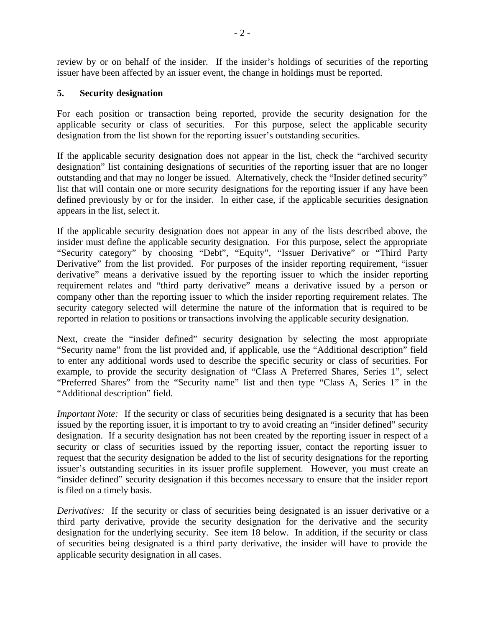review by or on behalf of the insider. If the insider's holdings of securities of the reporting issuer have been affected by an issuer event, the change in holdings must be reported.

### **5. Security designation**

For each position or transaction being reported, provide the security designation for the applicable security or class of securities. For this purpose, select the applicable security designation from the list shown for the reporting issuer's outstanding securities.

If the applicable security designation does not appear in the list, check the "archived security designation" list containing designations of securities of the reporting issuer that are no longer outstanding and that may no longer be issued. Alternatively, check the "Insider defined security" list that will contain one or more security designations for the reporting issuer if any have been defined previously by or for the insider. In either case, if the applicable securities designation appears in the list, select it.

If the applicable security designation does not appear in any of the lists described above, the insider must define the applicable security designation. For this purpose, select the appropriate "Security category" by choosing "Debt", "Equity", "Issuer Derivative" or "Third Party Derivative" from the list provided. For purposes of the insider reporting requirement, "issuer derivative" means a derivative issued by the reporting issuer to which the insider reporting requirement relates and "third party derivative" means a derivative issued by a person or company other than the reporting issuer to which the insider reporting requirement relates. The security category selected will determine the nature of the information that is required to be reported in relation to positions or transactions involving the applicable security designation.

Next, create the "insider defined" security designation by selecting the most appropriate "Security name" from the list provided and, if applicable, use the "Additional description" field to enter any additional words used to describe the specific security or class of securities. For example, to provide the security designation of "Class A Preferred Shares, Series 1", select "Preferred Shares" from the "Security name" list and then type "Class A, Series 1" in the "Additional description" field.

*Important Note:* If the security or class of securities being designated is a security that has been issued by the reporting issuer, it is important to try to avoid creating an "insider defined" security designation. If a security designation has not been created by the reporting issuer in respect of a security or class of securities issued by the reporting issuer, contact the reporting issuer to request that the security designation be added to the list of security designations for the reporting issuer's outstanding securities in its issuer profile supplement. However, you must create an "insider defined" security designation if this becomes necessary to ensure that the insider report is filed on a timely basis.

*Derivatives:* If the security or class of securities being designated is an issuer derivative or a third party derivative, provide the security designation for the derivative and the security designation for the underlying security. See item 18 below. In addition, if the security or class of securities being designated is a third party derivative, the insider will have to provide the applicable security designation in all cases.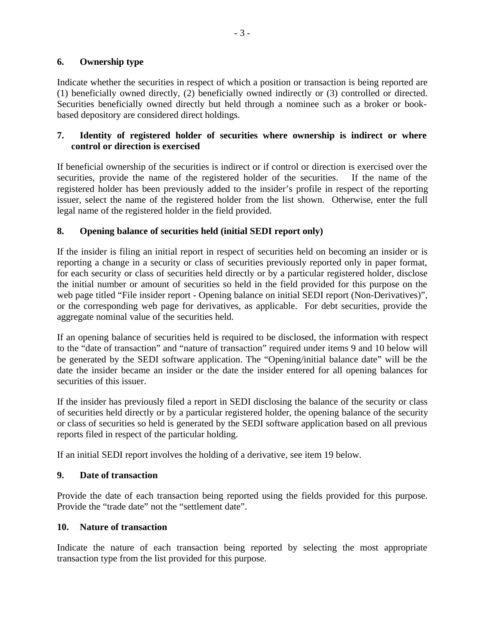### **6. Ownership type**

Indicate whether the securities in respect of which a position or transaction is being reported are (1) beneficially owned directly, (2) beneficially owned indirectly or (3) controlled or directed. Securities beneficially owned directly but held through a nominee such as a broker or bookbased depository are considered direct holdings.

# **7. Identity of registered holder of securities where ownership is indirect or where control or direction is exercised**

If beneficial ownership of the securities is indirect or if control or direction is exercised over the securities, provide the name of the registered holder of the securities. If the name of the registered holder has been previously added to the insider's profile in respect of the reporting issuer, select the name of the registered holder from the list shown. Otherwise, enter the full legal name of the registered holder in the field provided.

# **8. Opening balance of securities held (initial SEDI report only)**

If the insider is filing an initial report in respect of securities held on becoming an insider or is reporting a change in a security or class of securities previously reported only in paper format, for each security or class of securities held directly or by a particular registered holder, disclose the initial number or amount of securities so held in the field provided for this purpose on the web page titled "File insider report - Opening balance on initial SEDI report (Non-Derivatives)", or the corresponding web page for derivatives, as applicable. For debt securities, provide the aggregate nominal value of the securities held.

If an opening balance of securities held is required to be disclosed, the information with respect to the "date of transaction" and "nature of transaction" required under items 9 and 10 below will be generated by the SEDI software application. The "Opening/initial balance date" will be the date the insider became an insider or the date the insider entered for all opening balances for securities of this issuer.

If the insider has previously filed a report in SEDI disclosing the balance of the security or class of securities held directly or by a particular registered holder, the opening balance of the security or class of securities so held is generated by the SEDI software application based on all previous reports filed in respect of the particular holding.

If an initial SEDI report involves the holding of a derivative, see item 19 below.

# **9. Date of transaction**

Provide the date of each transaction being reported using the fields provided for this purpose. Provide the "trade date" not the "settlement date".

#### **10. Nature of transaction**

Indicate the nature of each transaction being reported by selecting the most appropriate transaction type from the list provided for this purpose.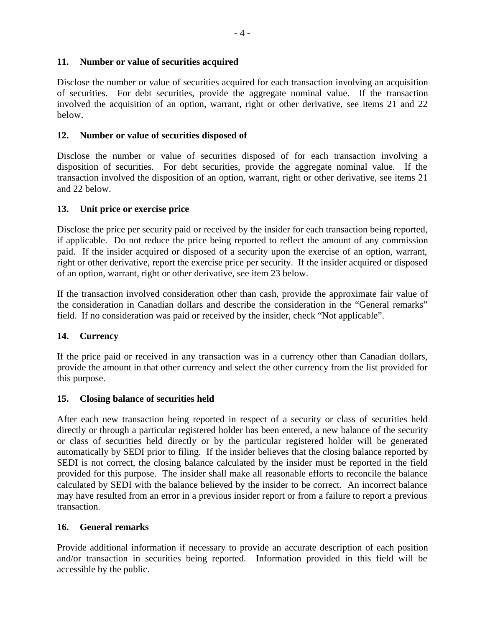### **11. Number or value of securities acquired**

Disclose the number or value of securities acquired for each transaction involving an acquisition of securities. For debt securities, provide the aggregate nominal value. If the transaction involved the acquisition of an option, warrant, right or other derivative, see items 21 and 22 below.

### **12. Number or value of securities disposed of**

Disclose the number or value of securities disposed of for each transaction involving a disposition of securities. For debt securities, provide the aggregate nominal value. If the transaction involved the disposition of an option, warrant, right or other derivative, see items 21 and 22 below.

### **13. Unit price or exercise price**

Disclose the price per security paid or received by the insider for each transaction being reported, if applicable. Do not reduce the price being reported to reflect the amount of any commission paid. If the insider acquired or disposed of a security upon the exercise of an option, warrant, right or other derivative, report the exercise price per security. If the insider acquired or disposed of an option, warrant, right or other derivative, see item 23 below.

If the transaction involved consideration other than cash, provide the approximate fair value of the consideration in Canadian dollars and describe the consideration in the "General remarks" field. If no consideration was paid or received by the insider, check "Not applicable".

# **14. Currency**

If the price paid or received in any transaction was in a currency other than Canadian dollars, provide the amount in that other currency and select the other currency from the list provided for this purpose.

#### **15. Closing balance of securities held**

After each new transaction being reported in respect of a security or class of securities held directly or through a particular registered holder has been entered, a new balance of the security or class of securities held directly or by the particular registered holder will be generated automatically by SEDI prior to filing. If the insider believes that the closing balance reported by SEDI is not correct, the closing balance calculated by the insider must be reported in the field provided for this purpose. The insider shall make all reasonable efforts to reconcile the balance calculated by SEDI with the balance believed by the insider to be correct. An incorrect balance may have resulted from an error in a previous insider report or from a failure to report a previous transaction.

#### **16. General remarks**

Provide additional information if necessary to provide an accurate description of each position and/or transaction in securities being reported. Information provided in this field will be accessible by the public.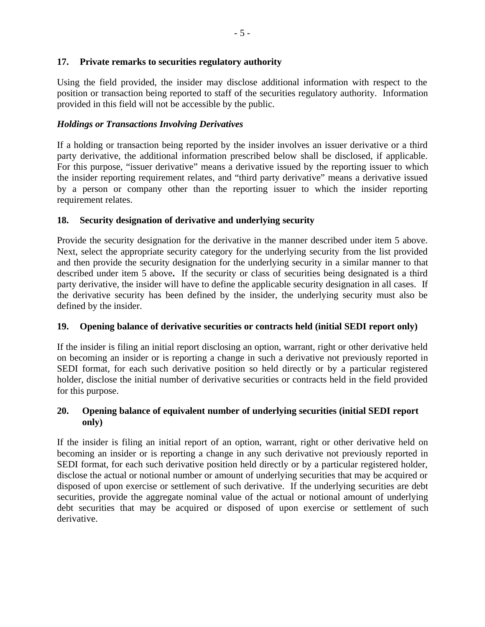### **17. Private remarks to securities regulatory authority**

Using the field provided, the insider may disclose additional information with respect to the position or transaction being reported to staff of the securities regulatory authority. Information provided in this field will not be accessible by the public.

### *Holdings or Transactions Involving Derivatives*

If a holding or transaction being reported by the insider involves an issuer derivative or a third party derivative, the additional information prescribed below shall be disclosed, if applicable. For this purpose, "issuer derivative" means a derivative issued by the reporting issuer to which the insider reporting requirement relates, and "third party derivative" means a derivative issued by a person or company other than the reporting issuer to which the insider reporting requirement relates.

### **18. Security designation of derivative and underlying security**

Provide the security designation for the derivative in the manner described under item 5 above. Next, select the appropriate security category for the underlying security from the list provided and then provide the security designation for the underlying security in a similar manner to that described under item 5 above**.** If the security or class of securities being designated is a third party derivative, the insider will have to define the applicable security designation in all cases.If the derivative security has been defined by the insider, the underlying security must also be defined by the insider.

# **19. Opening balance of derivative securities or contracts held (initial SEDI report only)**

If the insider is filing an initial report disclosing an option, warrant, right or other derivative held on becoming an insider or is reporting a change in such a derivative not previously reported in SEDI format, for each such derivative position so held directly or by a particular registered holder, disclose the initial number of derivative securities or contracts held in the field provided for this purpose.

# **20. Opening balance of equivalent number of underlying securities (initial SEDI report only)**

If the insider is filing an initial report of an option, warrant, right or other derivative held on becoming an insider or is reporting a change in any such derivative not previously reported in SEDI format, for each such derivative position held directly or by a particular registered holder, disclose the actual or notional number or amount of underlying securities that may be acquired or disposed of upon exercise or settlement of such derivative. If the underlying securities are debt securities, provide the aggregate nominal value of the actual or notional amount of underlying debt securities that may be acquired or disposed of upon exercise or settlement of such derivative.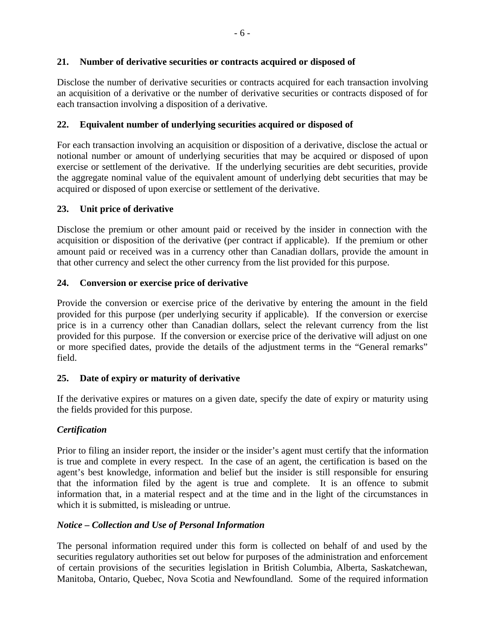### **21. Number of derivative securities or contracts acquired or disposed of**

Disclose the number of derivative securities or contracts acquired for each transaction involving an acquisition of a derivative or the number of derivative securities or contracts disposed of for each transaction involving a disposition of a derivative.

# **22. Equivalent number of underlying securities acquired or disposed of**

For each transaction involving an acquisition or disposition of a derivative, disclose the actual or notional number or amount of underlying securities that may be acquired or disposed of upon exercise or settlement of the derivative. If the underlying securities are debt securities, provide the aggregate nominal value of the equivalent amount of underlying debt securities that may be acquired or disposed of upon exercise or settlement of the derivative.

# **23. Unit price of derivative**

Disclose the premium or other amount paid or received by the insider in connection with the acquisition or disposition of the derivative (per contract if applicable). If the premium or other amount paid or received was in a currency other than Canadian dollars, provide the amount in that other currency and select the other currency from the list provided for this purpose.

# **24. Conversion or exercise price of derivative**

Provide the conversion or exercise price of the derivative by entering the amount in the field provided for this purpose (per underlying security if applicable). If the conversion or exercise price is in a currency other than Canadian dollars, select the relevant currency from the list provided for this purpose. If the conversion or exercise price of the derivative will adjust on one or more specified dates, provide the details of the adjustment terms in the "General remarks" field.

# **25. Date of expiry or maturity of derivative**

If the derivative expires or matures on a given date, specify the date of expiry or maturity using the fields provided for this purpose.

# *Certification*

Prior to filing an insider report, the insider or the insider's agent must certify that the information is true and complete in every respect. In the case of an agent, the certification is based on the agent's best knowledge, information and belief but the insider is still responsible for ensuring that the information filed by the agent is true and complete. It is an offence to submit information that, in a material respect and at the time and in the light of the circumstances in which it is submitted, is misleading or untrue.

# *Notice – Collection and Use of Personal Information*

The personal information required under this form is collected on behalf of and used by the securities regulatory authorities set out below for purposes of the administration and enforcement of certain provisions of the securities legislation in British Columbia, Alberta, Saskatchewan, Manitoba, Ontario, Quebec, Nova Scotia and Newfoundland. Some of the required information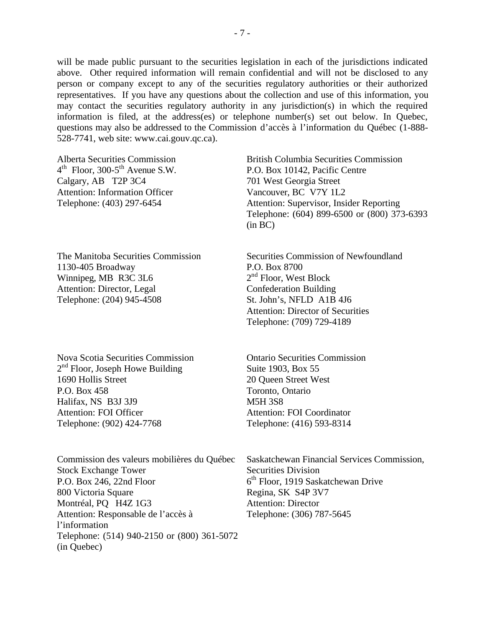will be made public pursuant to the securities legislation in each of the jurisdictions indicated above. Other required information will remain confidential and will not be disclosed to any person or company except to any of the securities regulatory authorities or their authorized representatives. If you have any questions about the collection and use of this information, you may contact the securities regulatory authority in any jurisdiction(s) in which the required information is filed, at the address(es) or telephone number(s) set out below. In Quebec, questions may also be addressed to the Commission d'accès à l'information du Québec (1-888- 528-7741, web site: www.cai.gouv.qc.ca).

Alberta Securities Commission  $4^{\text{th}}$  Floor, 300-5<sup>th</sup> Avenue S.W. Calgary, AB T2P 3C4 Attention: Information Officer Telephone: (403) 297-6454

The Manitoba Securities Commission 1130-405 Broadway Winnipeg, MB R3C 3L6 Attention: Director, Legal Telephone: (204) 945-4508

Nova Scotia Securities Commission 2<sup>nd</sup> Floor, Joseph Howe Building 1690 Hollis Street P.O. Box 458 Halifax, NS B3J 3J9 Attention: FOI Officer Telephone: (902) 424-7768

Commission des valeurs mobilières du Québec Stock Exchange Tower P.O. Box 246, 22nd Floor 800 Victoria Square Montréal, PQ H4Z 1G3 Attention: Responsable de l'accès à l'information Telephone: (514) 940-2150 or (800) 361-5072 (in Quebec)

British Columbia Securities Commission P.O. Box 10142, Pacific Centre 701 West Georgia Street Vancouver, BC V7Y 1L2 Attention: Supervisor, Insider Reporting Telephone: (604) 899-6500 or (800) 373-6393 (in BC)

Securities Commission of Newfoundland P.O. Box 8700 2<sup>nd</sup> Floor, West Block Confederation Building St. John's, NFLD A1B 4J6 Attention: Director of Securities Telephone: (709) 729-4189

Ontario Securities Commission Suite 1903, Box 55 20 Queen Street West Toronto, Ontario M5H 3S8 Attention: FOI Coordinator Telephone: (416) 593-8314

Saskatchewan Financial Services Commission, Securities Division 6<sup>th</sup> Floor, 1919 Saskatchewan Drive Regina, SK S4P 3V7 Attention: Director Telephone: (306) 787-5645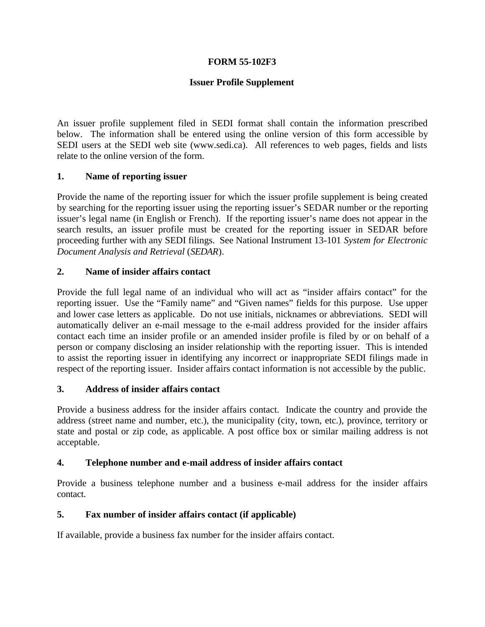### **FORM 55-102F3**

### **Issuer Profile Supplement**

An issuer profile supplement filed in SEDI format shall contain the information prescribed below. The information shall be entered using the online version of this form accessible by SEDI users at the SEDI web site (www.sedi.ca). All references to web pages, fields and lists relate to the online version of the form.

### **1. Name of reporting issuer**

Provide the name of the reporting issuer for which the issuer profile supplement is being created by searching for the reporting issuer using the reporting issuer's SEDAR number or the reporting issuer's legal name (in English or French). If the reporting issuer's name does not appear in the search results, an issuer profile must be created for the reporting issuer in SEDAR before proceeding further with any SEDI filings. See National Instrument 13-101 *System for Electronic Document Analysis and Retrieval* (*SEDAR*).

### **2. Name of insider affairs contact**

Provide the full legal name of an individual who will act as "insider affairs contact" for the reporting issuer. Use the "Family name" and "Given names" fields for this purpose. Use upper and lower case letters as applicable. Do not use initials, nicknames or abbreviations. SEDI will automatically deliver an e-mail message to the e-mail address provided for the insider affairs contact each time an insider profile or an amended insider profile is filed by or on behalf of a person or company disclosing an insider relationship with the reporting issuer. This is intended to assist the reporting issuer in identifying any incorrect or inappropriate SEDI filings made in respect of the reporting issuer. Insider affairs contact information is not accessible by the public.

# **3. Address of insider affairs contact**

Provide a business address for the insider affairs contact. Indicate the country and provide the address (street name and number, etc.), the municipality (city, town, etc.), province, territory or state and postal or zip code, as applicable. A post office box or similar mailing address is not acceptable.

#### **4. Telephone number and e-mail address of insider affairs contact**

Provide a business telephone number and a business e-mail address for the insider affairs contact.

# **5. Fax number of insider affairs contact (if applicable)**

If available, provide a business fax number for the insider affairs contact.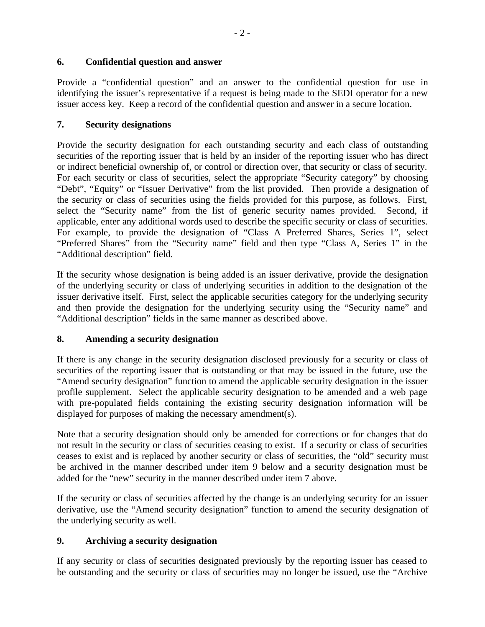# **6. Confidential question and answer**

Provide a "confidential question" and an answer to the confidential question for use in identifying the issuer's representative if a request is being made to the SEDI operator for a new issuer access key. Keep a record of the confidential question and answer in a secure location.

### **7. Security designations**

Provide the security designation for each outstanding security and each class of outstanding securities of the reporting issuer that is held by an insider of the reporting issuer who has direct or indirect beneficial ownership of, or control or direction over, that security or class of security. For each security or class of securities, select the appropriate "Security category" by choosing "Debt", "Equity" or "Issuer Derivative" from the list provided. Then provide a designation of the security or class of securities using the fields provided for this purpose, as follows. First, select the "Security name" from the list of generic security names provided. Second, if applicable, enter any additional words used to describe the specific security or class of securities. For example, to provide the designation of "Class A Preferred Shares, Series 1", select "Preferred Shares" from the "Security name" field and then type "Class A, Series 1" in the "Additional description" field.

If the security whose designation is being added is an issuer derivative, provide the designation of the underlying security or class of underlying securities in addition to the designation of the issuer derivative itself. First, select the applicable securities category for the underlying security and then provide the designation for the underlying security using the "Security name" and "Additional description" fields in the same manner as described above.

# **8. Amending a security designation**

If there is any change in the security designation disclosed previously for a security or class of securities of the reporting issuer that is outstanding or that may be issued in the future, use the "Amend security designation" function to amend the applicable security designation in the issuer profile supplement. Select the applicable security designation to be amended and a web page with pre-populated fields containing the existing security designation information will be displayed for purposes of making the necessary amendment(s).

Note that a security designation should only be amended for corrections or for changes that do not result in the security or class of securities ceasing to exist. If a security or class of securities ceases to exist and is replaced by another security or class of securities, the "old" security must be archived in the manner described under item 9 below and a security designation must be added for the "new" security in the manner described under item 7 above.

If the security or class of securities affected by the change is an underlying security for an issuer derivative, use the "Amend security designation" function to amend the security designation of the underlying security as well.

#### **9. Archiving a security designation**

If any security or class of securities designated previously by the reporting issuer has ceased to be outstanding and the security or class of securities may no longer be issued, use the "Archive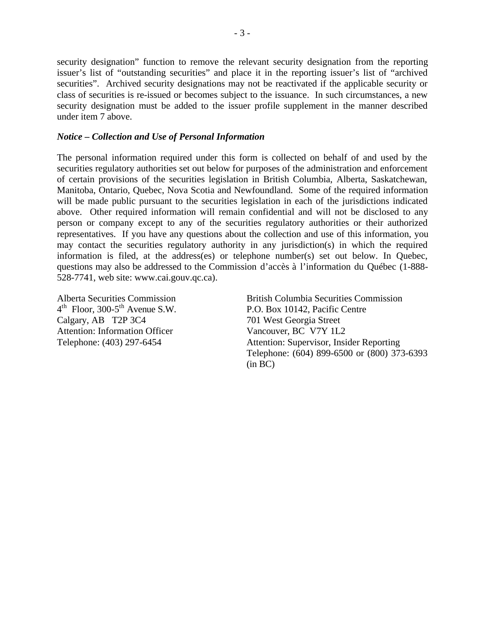security designation" function to remove the relevant security designation from the reporting issuer's list of "outstanding securities" and place it in the reporting issuer's list of "archived securities". Archived security designations may not be reactivated if the applicable security or class of securities is re-issued or becomes subject to the issuance. In such circumstances, a new security designation must be added to the issuer profile supplement in the manner described under item 7 above.

#### *Notice – Collection and Use of Personal Information*

The personal information required under this form is collected on behalf of and used by the securities regulatory authorities set out below for purposes of the administration and enforcement of certain provisions of the securities legislation in British Columbia, Alberta, Saskatchewan, Manitoba, Ontario, Quebec, Nova Scotia and Newfoundland. Some of the required information will be made public pursuant to the securities legislation in each of the jurisdictions indicated above. Other required information will remain confidential and will not be disclosed to any person or company except to any of the securities regulatory authorities or their authorized representatives. If you have any questions about the collection and use of this information, you may contact the securities regulatory authority in any jurisdiction(s) in which the required information is filed, at the address(es) or telephone number(s) set out below. In Quebec, questions may also be addressed to the Commission d'accès à l'information du Québec (1-888- 528-7741, web site: www.cai.gouv.qc.ca).

Alberta Securities Commission  $4^{\text{th}}$  Floor, 300-5<sup>th</sup> Avenue S.W. Calgary, AB T2P 3C4 Attention: Information Officer Telephone: (403) 297-6454

British Columbia Securities Commission P.O. Box 10142, Pacific Centre 701 West Georgia Street Vancouver, BC V7Y 1L2 Attention: Supervisor, Insider Reporting Telephone: (604) 899-6500 or (800) 373-6393 (in BC)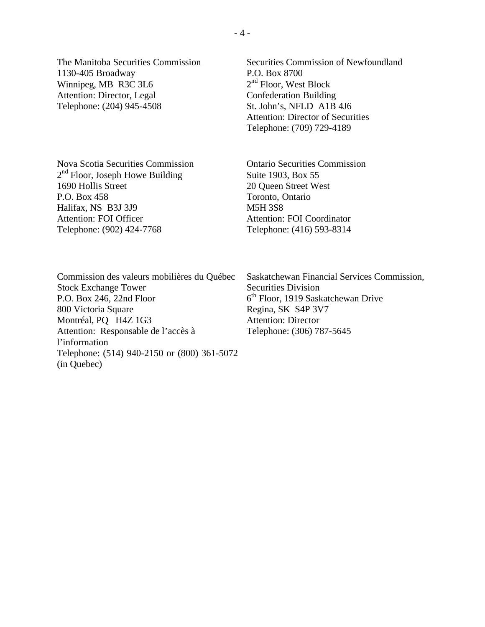The Manitoba Securities Commission 1130-405 Broadway Winnipeg, MB R3C 3L6 Attention: Director, Legal Telephone: (204) 945-4508

Nova Scotia Securities Commission 2<sup>nd</sup> Floor, Joseph Howe Building 1690 Hollis Street P.O. Box 458 Halifax, NS B3J 3J9 Attention: FOI Officer Telephone: (902) 424-7768

Commission des valeurs mobilières du Québec Stock Exchange Tower P.O. Box 246, 22nd Floor 800 Victoria Square Montréal, PQ H4Z 1G3 Attention: Responsable de l'accès à l'information Telephone: (514) 940-2150 or (800) 361-5072 (in Quebec)

Securities Commission of Newfoundland P.O. Box 8700 2<sup>nd</sup> Floor, West Block Confederation Building St. John's, NFLD A1B 4J6 Attention: Director of Securities Telephone: (709) 729-4189

Ontario Securities Commission Suite 1903, Box 55 20 Queen Street West Toronto, Ontario M5H 3S8 Attention: FOI Coordinator Telephone: (416) 593-8314

Saskatchewan Financial Services Commission, Securities Division 6<sup>th</sup> Floor, 1919 Saskatchewan Drive Regina, SK S4P 3V7 Attention: Director Telephone: (306) 787-5645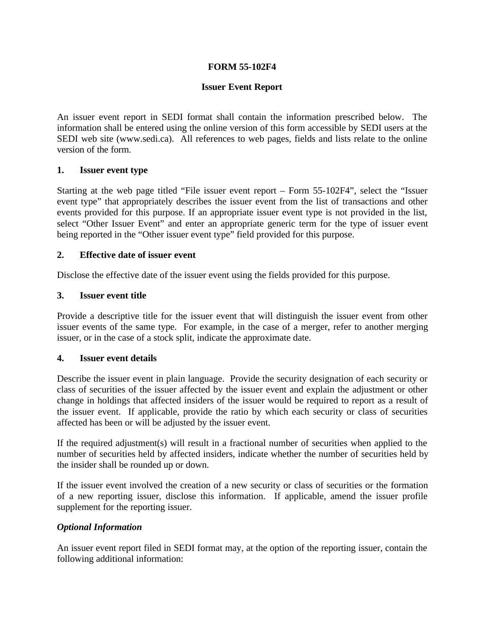# **FORM 55-102F4**

### **Issuer Event Report**

An issuer event report in SEDI format shall contain the information prescribed below. The information shall be entered using the online version of this form accessible by SEDI users at the SEDI web site (www.sedi.ca). All references to web pages, fields and lists relate to the online version of the form.

### **1. Issuer event type**

Starting at the web page titled "File issuer event report – Form 55-102F4", select the "Issuer event type" that appropriately describes the issuer event from the list of transactions and other events provided for this purpose. If an appropriate issuer event type is not provided in the list, select "Other Issuer Event" and enter an appropriate generic term for the type of issuer event being reported in the "Other issuer event type" field provided for this purpose.

#### **2. Effective date of issuer event**

Disclose the effective date of the issuer event using the fields provided for this purpose.

#### **3. Issuer event title**

Provide a descriptive title for the issuer event that will distinguish the issuer event from other issuer events of the same type. For example, in the case of a merger, refer to another merging issuer, or in the case of a stock split, indicate the approximate date.

#### **4. Issuer event details**

Describe the issuer event in plain language. Provide the security designation of each security or class of securities of the issuer affected by the issuer event and explain the adjustment or other change in holdings that affected insiders of the issuer would be required to report as a result of the issuer event. If applicable, provide the ratio by which each security or class of securities affected has been or will be adjusted by the issuer event.

If the required adjustment(s) will result in a fractional number of securities when applied to the number of securities held by affected insiders, indicate whether the number of securities held by the insider shall be rounded up or down.

If the issuer event involved the creation of a new security or class of securities or the formation of a new reporting issuer, disclose this information. If applicable, amend the issuer profile supplement for the reporting issuer.

#### *Optional Information*

An issuer event report filed in SEDI format may, at the option of the reporting issuer, contain the following additional information: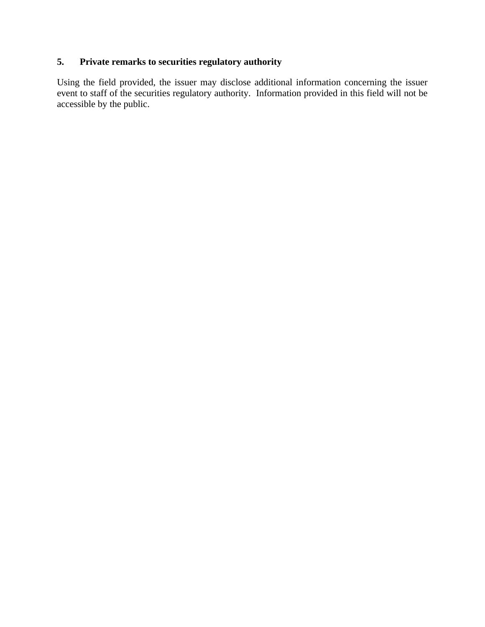# **5. Private remarks to securities regulatory authority**

Using the field provided, the issuer may disclose additional information concerning the issuer event to staff of the securities regulatory authority. Information provided in this field will not be accessible by the public.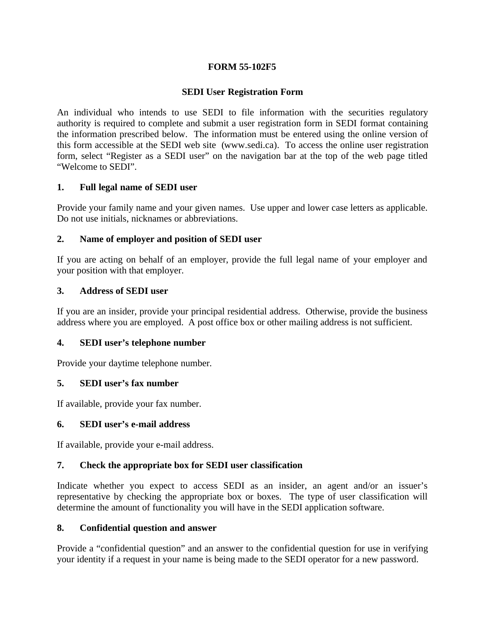# **FORM 55-102F5**

# **SEDI User Registration Form**

An individual who intends to use SEDI to file information with the securities regulatory authority is required to complete and submit a user registration form in SEDI format containing the information prescribed below. The information must be entered using the online version of this form accessible at the SEDI web site (www.sedi.ca). To access the online user registration form, select "Register as a SEDI user" on the navigation bar at the top of the web page titled "Welcome to SEDI".

# **1. Full legal name of SEDI user**

Provide your family name and your given names. Use upper and lower case letters as applicable. Do not use initials, nicknames or abbreviations.

### **2. Name of employer and position of SEDI user**

If you are acting on behalf of an employer, provide the full legal name of your employer and your position with that employer.

### **3. Address of SEDI user**

If you are an insider, provide your principal residential address. Otherwise, provide the business address where you are employed. A post office box or other mailing address is not sufficient.

# **4. SEDI user's telephone number**

Provide your daytime telephone number.

# **5. SEDI user's fax number**

If available, provide your fax number.

# **6. SEDI user's e-mail address**

If available, provide your e-mail address.

# **7. Check the appropriate box for SEDI user classification**

Indicate whether you expect to access SEDI as an insider, an agent and/or an issuer's representative by checking the appropriate box or boxes. The type of user classification will determine the amount of functionality you will have in the SEDI application software.

#### **8. Confidential question and answer**

Provide a "confidential question" and an answer to the confidential question for use in verifying your identity if a request in your name is being made to the SEDI operator for a new password.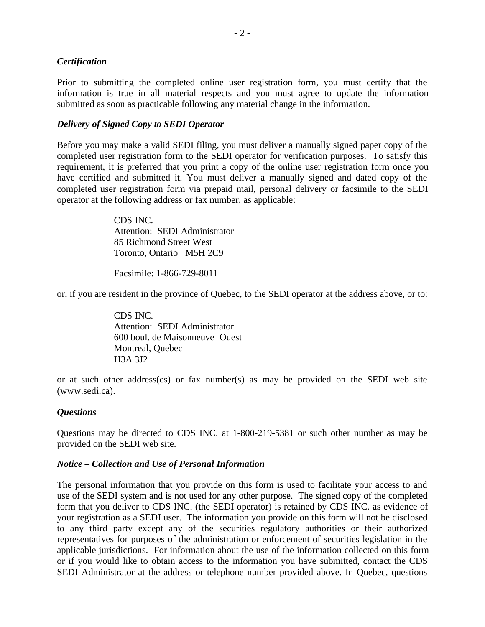#### *Certification*

Prior to submitting the completed online user registration form, you must certify that the information is true in all material respects and you must agree to update the information submitted as soon as practicable following any material change in the information.

### *Delivery of Signed Copy to SEDI Operator*

Before you may make a valid SEDI filing, you must deliver a manually signed paper copy of the completed user registration form to the SEDI operator for verification purposes. To satisfy this requirement, it is preferred that you print a copy of the online user registration form once you have certified and submitted it. You must deliver a manually signed and dated copy of the completed user registration form via prepaid mail, personal delivery or facsimile to the SEDI operator at the following address or fax number, as applicable:

> CDS INC. Attention: SEDI Administrator 85 Richmond Street West Toronto, Ontario M5H 2C9

Facsimile: 1-866-729-8011

or, if you are resident in the province of Quebec, to the SEDI operator at the address above, or to:

CDS INC. Attention: SEDI Administrator 600 boul. de Maisonneuve Ouest Montreal, Quebec H3A 3J2

or at such other address(es) or fax number(s) as may be provided on the SEDI web site (www.sedi.ca).

#### *Questions*

Questions may be directed to CDS INC. at 1-800-219-5381 or such other number as may be provided on the SEDI web site.

#### *Notice – Collection and Use of Personal Information*

The personal information that you provide on this form is used to facilitate your access to and use of the SEDI system and is not used for any other purpose. The signed copy of the completed form that you deliver to CDS INC. (the SEDI operator) is retained by CDS INC. as evidence of your registration as a SEDI user. The information you provide on this form will not be disclosed to any third party except any of the securities regulatory authorities or their authorized representatives for purposes of the administration or enforcement of securities legislation in the applicable jurisdictions. For information about the use of the information collected on this form or if you would like to obtain access to the information you have submitted, contact the CDS SEDI Administrator at the address or telephone number provided above. In Quebec, questions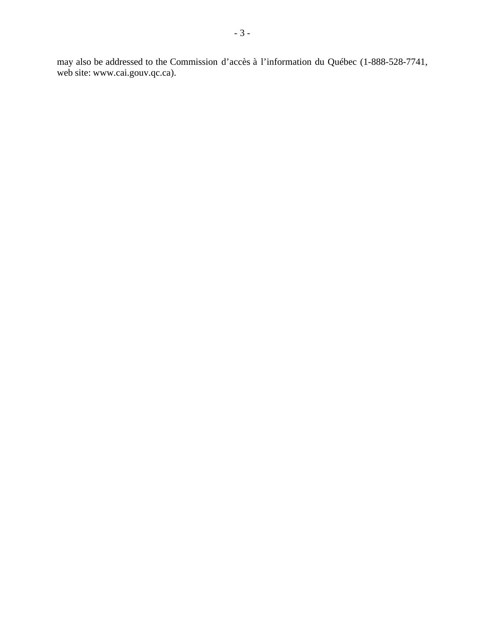may also be addressed to the Commission d'accès à l'information du Québec (1-888-528-7741, web site: www.cai.gouv.qc.ca).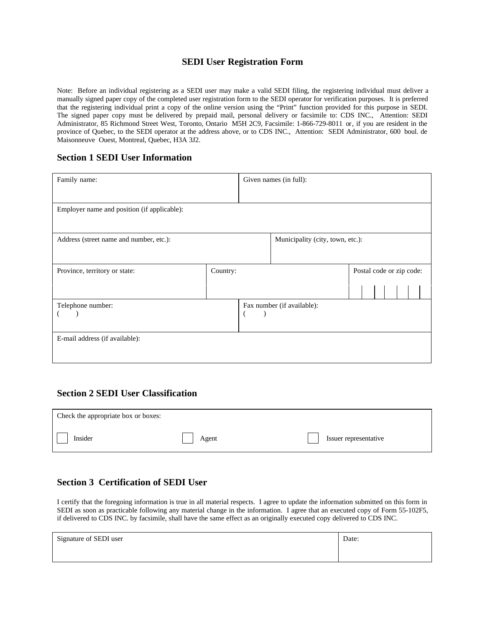#### **SEDI User Registration Form**

Note: Before an individual registering as a SEDI user may make a valid SEDI filing, the registering individual must deliver a manually signed paper copy of the completed user registration form to the SEDI operator for verification purposes. It is preferred that the registering individual print a copy of the online version using the "Print" function provided for this purpose in SEDI. The signed paper copy must be delivered by prepaid mail, personal delivery or facsimile to: CDS INC., Attention: SEDI Administrator, 85 Richmond Street West, Toronto, Ontario M5H 2C9, Facsimile: 1-866-729-8011 or, if you are resident in the province of Quebec, to the SEDI operator at the address above, or to CDS INC., Attention: SEDI Administrator, 600 boul. de Maisonneuve Ouest, Montreal, Quebec, H3A 3J2.

#### **Section 1 SEDI User Information**

| Family name:                                |          | Given names (in full):           |                          |
|---------------------------------------------|----------|----------------------------------|--------------------------|
| Employer name and position (if applicable): |          |                                  |                          |
| Address (street name and number, etc.):     |          | Municipality (city, town, etc.): |                          |
| Province, territory or state:               | Country: |                                  | Postal code or zip code: |
| Telephone number:                           |          | Fax number (if available):       |                          |
| E-mail address (if available):              |          |                                  |                          |

#### **Section 2 SEDI User Classification**

| Check the appropriate box or boxes: |       |                       |
|-------------------------------------|-------|-----------------------|
| Insider                             | Agent | Issuer representative |

#### **Section 3 Certification of SEDI User**

I certify that the foregoing information is true in all material respects. I agree to update the information submitted on this form in SEDI as soon as practicable following any material change in the information. I agree that an executed copy of Form 55-102F5, if delivered to CDS INC. by facsimile, shall have the same effect as an originally executed copy delivered to CDS INC.

| Signature of SEDI user | Date: |
|------------------------|-------|
|                        |       |
|                        |       |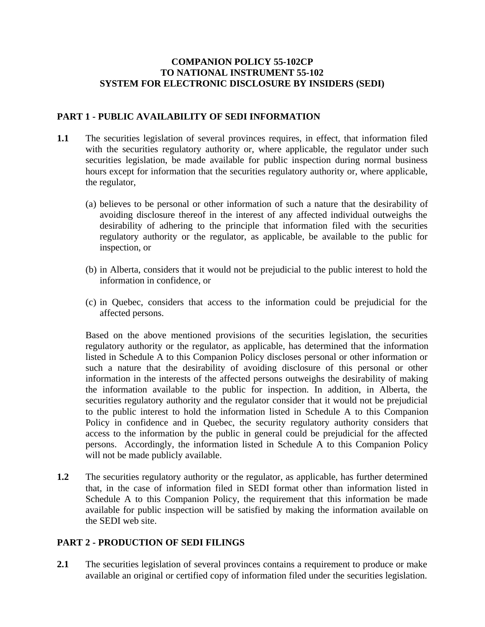### **COMPANION POLICY 55-102CP TO NATIONAL INSTRUMENT 55-102 SYSTEM FOR ELECTRONIC DISCLOSURE BY INSIDERS (SEDI)**

### **PART 1 - PUBLIC AVAILABILITY OF SEDI INFORMATION**

- **1.1** The securities legislation of several provinces requires, in effect, that information filed with the securities regulatory authority or, where applicable, the regulator under such securities legislation, be made available for public inspection during normal business hours except for information that the securities regulatory authority or, where applicable, the regulator,
	- (a) believes to be personal or other information of such a nature that the desirability of avoiding disclosure thereof in the interest of any affected individual outweighs the desirability of adhering to the principle that information filed with the securities regulatory authority or the regulator, as applicable, be available to the public for inspection, or
	- (b) in Alberta, considers that it would not be prejudicial to the public interest to hold the information in confidence, or
	- (c) in Quebec, considers that access to the information could be prejudicial for the affected persons.

Based on the above mentioned provisions of the securities legislation, the securities regulatory authority or the regulator, as applicable, has determined that the information listed in Schedule A to this Companion Policy discloses personal or other information or such a nature that the desirability of avoiding disclosure of this personal or other information in the interests of the affected persons outweighs the desirability of making the information available to the public for inspection. In addition, in Alberta, the securities regulatory authority and the regulator consider that it would not be prejudicial to the public interest to hold the information listed in Schedule A to this Companion Policy in confidence and in Quebec, the security regulatory authority considers that access to the information by the public in general could be prejudicial for the affected persons. Accordingly, the information listed in Schedule A to this Companion Policy will not be made publicly available.

**1.2** The securities regulatory authority or the regulator, as applicable, has further determined that, in the case of information filed in SEDI format other than information listed in Schedule A to this Companion Policy, the requirement that this information be made available for public inspection will be satisfied by making the information available on the SEDI web site.

# **PART 2 - PRODUCTION OF SEDI FILINGS**

**2.1** The securities legislation of several provinces contains a requirement to produce or make available an original or certified copy of information filed under the securities legislation.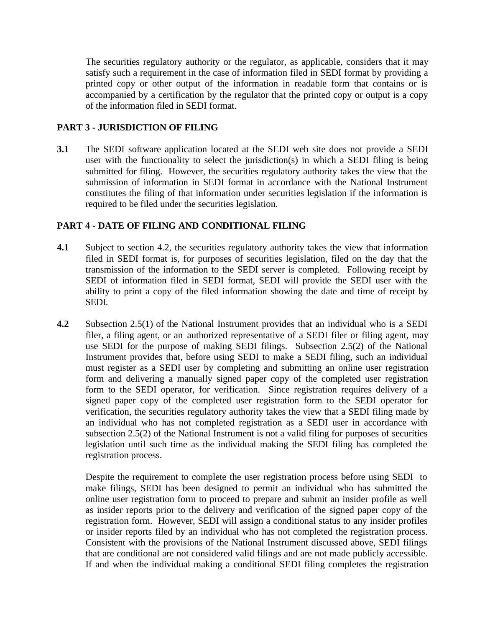The securities regulatory authority or the regulator, as applicable, considers that it may satisfy such a requirement in the case of information filed in SEDI format by providing a printed copy or other output of the information in readable form that contains or is accompanied by a certification by the regulator that the printed copy or output is a copy of the information filed in SEDI format.

# **PART 3 - JURISDICTION OF FILING**

**3.1** The SEDI software application located at the SEDI web site does not provide a SEDI user with the functionality to select the jurisdiction(s) in which a SEDI filing is being submitted for filing. However, the securities regulatory authority takes the view that the submission of information in SEDI format in accordance with the National Instrument constitutes the filing of that information under securities legislation if the information is required to be filed under the securities legislation.

# **PART 4 - DATE OF FILING AND CONDITIONAL FILING**

- **4.1** Subject to section 4.2, the securities regulatory authority takes the view that information filed in SEDI format is, for purposes of securities legislation, filed on the day that the transmission of the information to the SEDI server is completed. Following receipt by SEDI of information filed in SEDI format, SEDI will provide the SEDI user with the ability to print a copy of the filed information showing the date and time of receipt by SEDI.
- **4.2** Subsection 2.5(1) of the National Instrument provides that an individual who is a SEDI filer, a filing agent, or an authorized representative of a SEDI filer or filing agent, may use SEDI for the purpose of making SEDI filings. Subsection 2.5(2) of the National Instrument provides that, before using SEDI to make a SEDI filing, such an individual must register as a SEDI user by completing and submitting an online user registration form and delivering a manually signed paper copy of the completed user registration form to the SEDI operator, for verification. Since registration requires delivery of a signed paper copy of the completed user registration form to the SEDI operator for verification, the securities regulatory authority takes the view that a SEDI filing made by an individual who has not completed registration as a SEDI user in accordance with subsection 2.5(2) of the National Instrument is not a valid filing for purposes of securities legislation until such time as the individual making the SEDI filing has completed the registration process.

Despite the requirement to complete the user registration process before using SEDI to make filings, SEDI has been designed to permit an individual who has submitted the online user registration form to proceed to prepare and submit an insider profile as well as insider reports prior to the delivery and verification of the signed paper copy of the registration form. However, SEDI will assign a conditional status to any insider profiles or insider reports filed by an individual who has not completed the registration process. Consistent with the provisions of the National Instrument discussed above, SEDI filings that are conditional are not considered valid filings and are not made publicly accessible. If and when the individual making a conditional SEDI filing completes the registration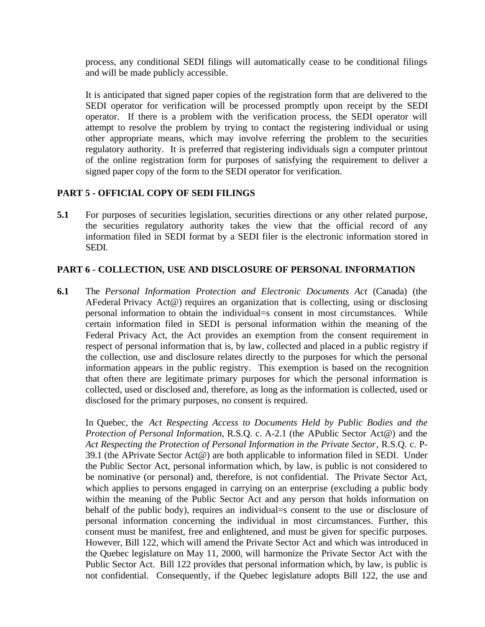process, any conditional SEDI filings will automatically cease to be conditional filings and will be made publicly accessible.

It is anticipated that signed paper copies of the registration form that are delivered to the SEDI operator for verification will be processed promptly upon receipt by the SEDI operator. If there is a problem with the verification process, the SEDI operator will attempt to resolve the problem by trying to contact the registering individual or using other appropriate means, which may involve referring the problem to the securities regulatory authority. It is preferred that registering individuals sign a computer printout of the online registration form for purposes of satisfying the requirement to deliver a signed paper copy of the form to the SEDI operator for verification.

### **PART 5 - OFFICIAL COPY OF SEDI FILINGS**

**5.1** For purposes of securities legislation, securities directions or any other related purpose, the securities regulatory authority takes the view that the official record of any information filed in SEDI format by a SEDI filer is the electronic information stored in SEDI.

### **PART 6 - COLLECTION, USE AND DISCLOSURE OF PERSONAL INFORMATION**

**6.1** The *Personal Information Protection and Electronic Documents Act* (Canada) (the AFederal Privacy Act@) requires an organization that is collecting, using or disclosing personal information to obtain the individual=s consent in most circumstances. While certain information filed in SEDI is personal information within the meaning of the Federal Privacy Act, the Act provides an exemption from the consent requirement in respect of personal information that is, by law, collected and placed in a public registry if the collection, use and disclosure relates directly to the purposes for which the personal information appears in the public registry. This exemption is based on the recognition that often there are legitimate primary purposes for which the personal information is collected, used or disclosed and, therefore, as long as the information is collected, used or disclosed for the primary purposes, no consent is required.

In Quebec, the *Act Respecting Access to Documents Held by Public Bodies and the Protection of Personal Information*, R.S.Q. c. A-2.1 (the APublic Sector Act@) and the *Act Respecting the Protection of Personal Information in the Private Sector*, R.S.Q. c. P-39.1 (the APrivate Sector Act@) are both applicable to information filed in SEDI. Under the Public Sector Act, personal information which, by law, is public is not considered to be nominative (or personal) and, therefore, is not confidential. The Private Sector Act, which applies to persons engaged in carrying on an enterprise (excluding a public body within the meaning of the Public Sector Act and any person that holds information on behalf of the public body), requires an individual=s consent to the use or disclosure of personal information concerning the individual in most circumstances. Further, this consent must be manifest, free and enlightened, and must be given for specific purposes. However, Bill 122, which will amend the Private Sector Act and which was introduced in the Quebec legislature on May 11, 2000, will harmonize the Private Sector Act with the Public Sector Act. Bill 122 provides that personal information which, by law, is public is not confidential. Consequently, if the Quebec legislature adopts Bill 122, the use and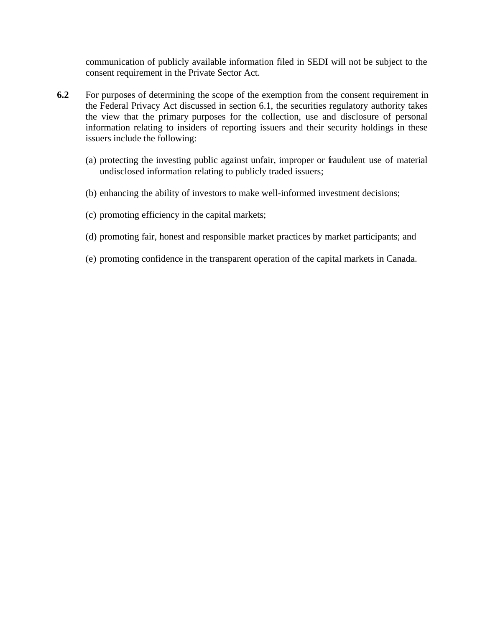communication of publicly available information filed in SEDI will not be subject to the consent requirement in the Private Sector Act.

- **6.2** For purposes of determining the scope of the exemption from the consent requirement in the Federal Privacy Act discussed in section 6.1, the securities regulatory authority takes the view that the primary purposes for the collection, use and disclosure of personal information relating to insiders of reporting issuers and their security holdings in these issuers include the following:
	- (a) protecting the investing public against unfair, improper or fraudulent use of material undisclosed information relating to publicly traded issuers;
	- (b) enhancing the ability of investors to make well-informed investment decisions;
	- (c) promoting efficiency in the capital markets;
	- (d) promoting fair, honest and responsible market practices by market participants; and
	- (e) promoting confidence in the transparent operation of the capital markets in Canada.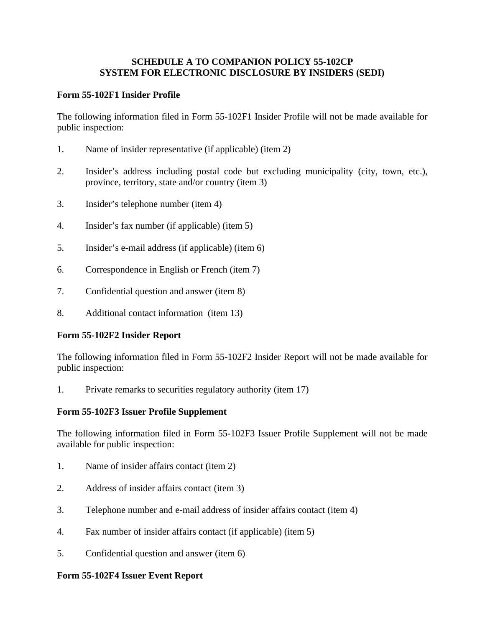### **SCHEDULE A TO COMPANION POLICY 55-102CP SYSTEM FOR ELECTRONIC DISCLOSURE BY INSIDERS (SEDI)**

# **Form 55-102F1 Insider Profile**

The following information filed in Form 55-102F1 Insider Profile will not be made available for public inspection:

- 1. Name of insider representative (if applicable) (item 2)
- 2. Insider's address including postal code but excluding municipality (city, town, etc.), province, territory, state and/or country (item 3)
- 3. Insider's telephone number (item 4)
- 4. Insider's fax number (if applicable) (item 5)
- 5. Insider's e-mail address (if applicable) (item 6)
- 6. Correspondence in English or French (item 7)
- 7. Confidential question and answer (item 8)
- 8. Additional contact information (item 13)

# **Form 55-102F2 Insider Report**

The following information filed in Form 55-102F2 Insider Report will not be made available for public inspection:

1. Private remarks to securities regulatory authority (item 17)

# **Form 55-102F3 Issuer Profile Supplement**

The following information filed in Form 55-102F3 Issuer Profile Supplement will not be made available for public inspection:

- 1. Name of insider affairs contact (item 2)
- 2. Address of insider affairs contact (item 3)
- 3. Telephone number and e-mail address of insider affairs contact (item 4)
- 4. Fax number of insider affairs contact (if applicable) (item 5)
- 5. Confidential question and answer (item 6)

# **Form 55-102F4 Issuer Event Report**